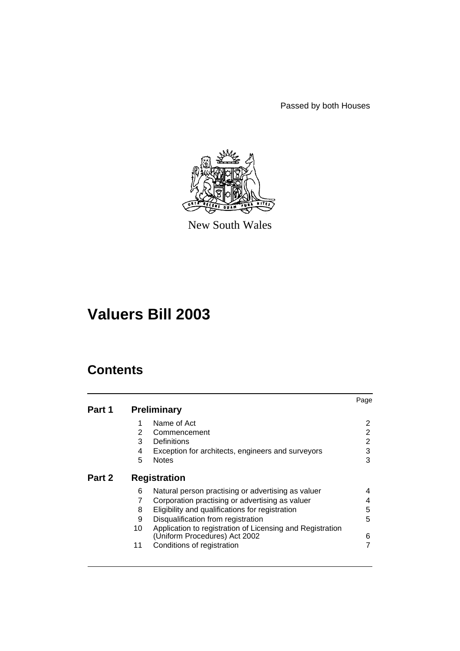Passed by both Houses



New South Wales

# **Valuers Bill 2003**

# **Contents**

|        |    |                                                           | Page |
|--------|----|-----------------------------------------------------------|------|
| Part 1 |    | <b>Preliminary</b>                                        |      |
|        | 1  | Name of Act                                               | 2    |
|        | 2  | Commencement                                              | 2    |
|        | 3  | Definitions                                               | 2    |
|        | 4  | Exception for architects, engineers and surveyors         | 3    |
|        | 5  | <b>Notes</b>                                              | 3    |
| Part 2 |    | <b>Registration</b>                                       |      |
|        | 6  | Natural person practising or advertising as valuer        | 4    |
|        | 7  | Corporation practising or advertising as valuer           | 4    |
|        | 8  | Eligibility and qualifications for registration           | 5    |
|        | 9  | Disqualification from registration                        | 5    |
|        | 10 | Application to registration of Licensing and Registration |      |
|        |    | (Uniform Procedures) Act 2002                             | 6    |
|        | 11 | Conditions of registration                                |      |
|        |    |                                                           |      |
|        |    |                                                           |      |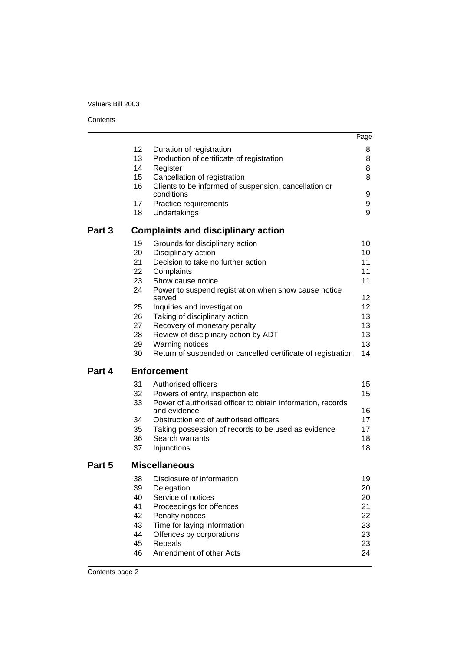#### **Contents**

|        |    |                                                              | Page |
|--------|----|--------------------------------------------------------------|------|
|        | 12 | Duration of registration                                     | 8    |
|        | 13 | Production of certificate of registration                    | 8    |
|        | 14 | Register                                                     | 8    |
|        | 15 | Cancellation of registration                                 | 8    |
|        | 16 | Clients to be informed of suspension, cancellation or        |      |
|        |    | conditions                                                   | 9    |
|        | 17 | Practice requirements                                        | 9    |
|        | 18 | Undertakings                                                 | 9    |
| Part 3 |    | <b>Complaints and disciplinary action</b>                    |      |
|        | 19 | Grounds for disciplinary action                              | 10   |
|        | 20 | Disciplinary action                                          | 10   |
|        | 21 | Decision to take no further action                           | 11   |
|        | 22 | Complaints                                                   | 11   |
|        | 23 | Show cause notice                                            | 11   |
|        | 24 | Power to suspend registration when show cause notice         |      |
|        |    | served                                                       | 12   |
|        | 25 | Inquiries and investigation                                  | 12   |
|        | 26 | Taking of disciplinary action                                | 13   |
|        | 27 | Recovery of monetary penalty                                 | 13   |
|        | 28 | Review of disciplinary action by ADT                         | 13   |
|        | 29 | Warning notices                                              | 13   |
|        | 30 | Return of suspended or cancelled certificate of registration | 14   |
| Part 4 |    | <b>Enforcement</b>                                           |      |
|        | 31 | Authorised officers                                          | 15   |
|        | 32 | Powers of entry, inspection etc                              | 15   |
|        | 33 | Power of authorised officer to obtain information, records   |      |
|        |    | and evidence                                                 | 16   |
|        | 34 | Obstruction etc of authorised officers                       | 17   |
|        | 35 | Taking possession of records to be used as evidence          | 17   |
|        | 36 | Search warrants                                              | 18   |
|        | 37 | Injunctions                                                  | 18   |
| Part 5 |    | <b>Miscellaneous</b>                                         |      |
|        | 38 | Disclosure of information                                    | 19   |
|        | 39 | Delegation                                                   | 20   |
|        | 40 | Service of notices                                           | 20   |
|        | 41 | Proceedings for offences                                     | 21   |
|        | 42 | Penalty notices                                              | 22   |
|        | 43 | Time for laying information                                  | 23   |
|        | 44 | Offences by corporations                                     | 23   |
|        | 45 | Repeals                                                      | 23   |
|        | 46 | Amendment of other Acts                                      | 24   |
|        |    |                                                              |      |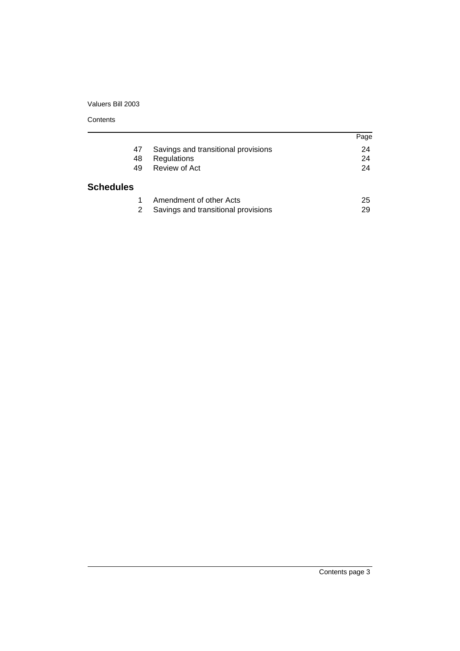#### **Contents**

|                  |                                     | Page |
|------------------|-------------------------------------|------|
| 47               | Savings and transitional provisions | 24   |
| 48               | Regulations                         | 24   |
| 49               | Review of Act                       | 24   |
| <b>Schedules</b> |                                     |      |
|                  | Amendment of other Acts             | 25   |
|                  | Savings and transitional provisions | 29   |

Contents page 3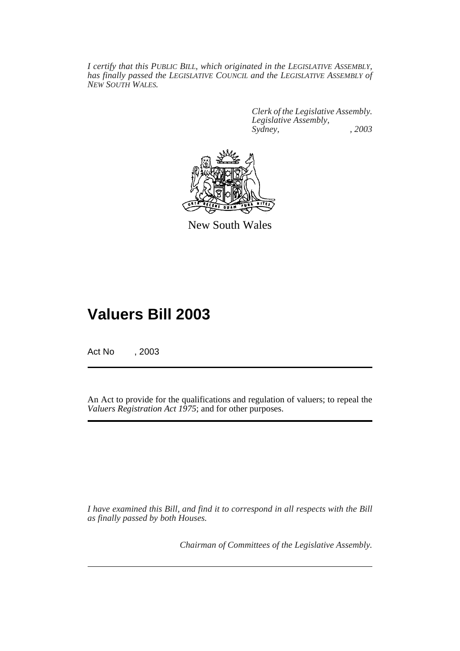*I certify that this PUBLIC BILL, which originated in the LEGISLATIVE ASSEMBLY, has finally passed the LEGISLATIVE COUNCIL and the LEGISLATIVE ASSEMBLY of NEW SOUTH WALES.*

> *Clerk of the Legislative Assembly. Legislative Assembly, Sydney, , 2003*



New South Wales

# **Valuers Bill 2003**

Act No , 2003

An Act to provide for the qualifications and regulation of valuers; to repeal the *Valuers Registration Act 1975*; and for other purposes.

*I have examined this Bill, and find it to correspond in all respects with the Bill as finally passed by both Houses.*

*Chairman of Committees of the Legislative Assembly.*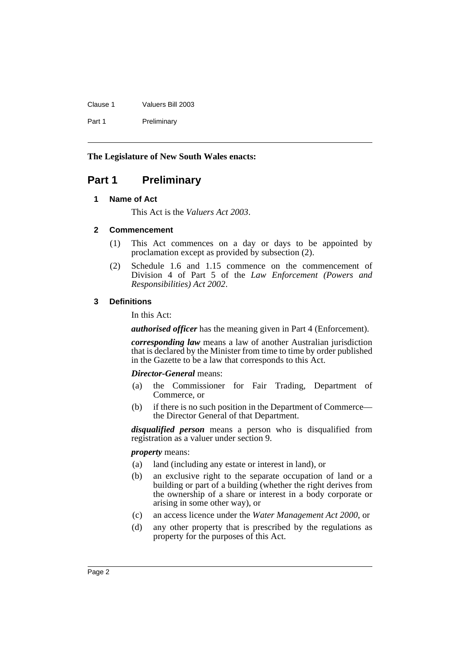| Clause 1 | Valuers Bill 2003 |
|----------|-------------------|
| Part 1   | Preliminary       |

**The Legislature of New South Wales enacts:**

# <span id="page-4-1"></span><span id="page-4-0"></span>**Part 1 Preliminary**

# **1 Name of Act**

This Act is the *Valuers Act 2003*.

# <span id="page-4-2"></span>**2 Commencement**

- (1) This Act commences on a day or days to be appointed by proclamation except as provided by subsection (2).
- (2) Schedule 1.6 and 1.15 commence on the commencement of Division 4 of Part 5 of the *Law Enforcement (Powers and Responsibilities) Act 2002*.

# <span id="page-4-3"></span>**3 Definitions**

In this Act:

*authorised officer* has the meaning given in Part 4 (Enforcement).

*corresponding law* means a law of another Australian jurisdiction that is declared by the Minister from time to time by order published in the Gazette to be a law that corresponds to this Act.

#### *Director-General* means:

- (a) the Commissioner for Fair Trading, Department of Commerce, or
- (b) if there is no such position in the Department of Commerce the Director General of that Department.

*disqualified person* means a person who is disqualified from registration as a valuer under section 9.

#### *property* means:

- (a) land (including any estate or interest in land), or
- (b) an exclusive right to the separate occupation of land or a building or part of a building (whether the right derives from the ownership of a share or interest in a body corporate or arising in some other way), or
- (c) an access licence under the *Water Management Act 2000*, or
- (d) any other property that is prescribed by the regulations as property for the purposes of this Act.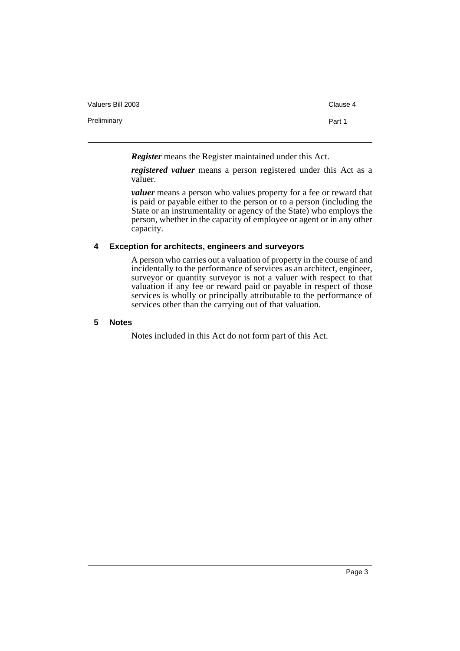| Valuers Bill 2003 | Clause 4 |
|-------------------|----------|
| Preliminary       | Part 1   |
|                   |          |

*Register* means the Register maintained under this Act.

*registered valuer* means a person registered under this Act as a valuer.

*valuer* means a person who values property for a fee or reward that is paid or payable either to the person or to a person (including the State or an instrumentality or agency of the State) who employs the person, whether in the capacity of employee or agent or in any other capacity.

#### <span id="page-5-0"></span>**4 Exception for architects, engineers and surveyors**

A person who carries out a valuation of property in the course of and incidentally to the performance of services as an architect, engineer, surveyor or quantity surveyor is not a valuer with respect to that valuation if any fee or reward paid or payable in respect of those services is wholly or principally attributable to the performance of services other than the carrying out of that valuation.

#### <span id="page-5-1"></span>**5 Notes**

Notes included in this Act do not form part of this Act.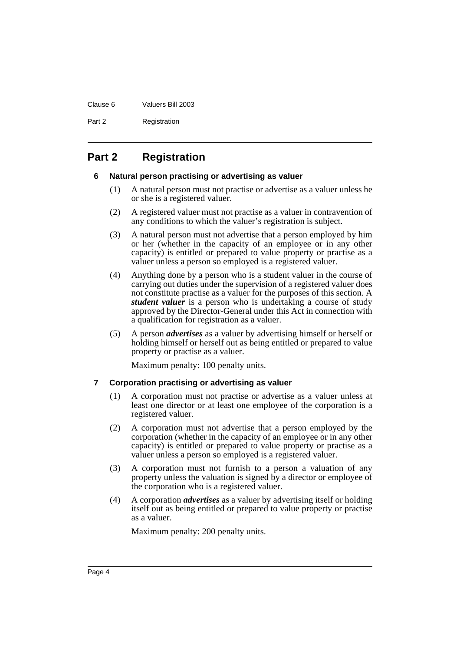#### Clause 6 Valuers Bill 2003

Part 2 Registration

# <span id="page-6-1"></span><span id="page-6-0"></span>**Part 2 Registration**

# **6 Natural person practising or advertising as valuer**

- (1) A natural person must not practise or advertise as a valuer unless he or she is a registered valuer.
- (2) A registered valuer must not practise as a valuer in contravention of any conditions to which the valuer's registration is subject.
- (3) A natural person must not advertise that a person employed by him or her (whether in the capacity of an employee or in any other capacity) is entitled or prepared to value property or practise as a valuer unless a person so employed is a registered valuer.
- (4) Anything done by a person who is a student valuer in the course of carrying out duties under the supervision of a registered valuer does not constitute practise as a valuer for the purposes of this section. A *student valuer* is a person who is undertaking a course of study approved by the Director-General under this Act in connection with a qualification for registration as a valuer.
- (5) A person *advertises* as a valuer by advertising himself or herself or holding himself or herself out as being entitled or prepared to value property or practise as a valuer.

Maximum penalty: 100 penalty units.

# <span id="page-6-2"></span>**7 Corporation practising or advertising as valuer**

- (1) A corporation must not practise or advertise as a valuer unless at least one director or at least one employee of the corporation is a registered valuer.
- (2) A corporation must not advertise that a person employed by the corporation (whether in the capacity of an employee or in any other capacity) is entitled or prepared to value property or practise as a valuer unless a person so employed is a registered valuer.
- (3) A corporation must not furnish to a person a valuation of any property unless the valuation is signed by a director or employee of the corporation who is a registered valuer.
- (4) A corporation *advertises* as a valuer by advertising itself or holding itself out as being entitled or prepared to value property or practise as a valuer.

Maximum penalty: 200 penalty units.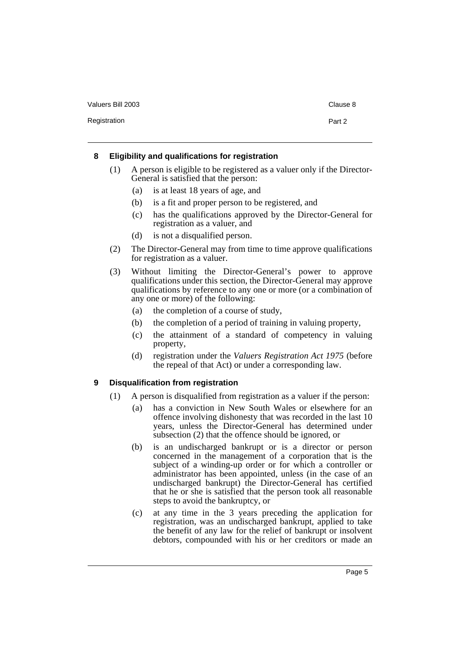Registration **Part 2** 

## <span id="page-7-0"></span>**8 Eligibility and qualifications for registration**

- (1) A person is eligible to be registered as a valuer only if the Director-General is satisfied that the person:
	- (a) is at least 18 years of age, and
	- (b) is a fit and proper person to be registered, and
	- (c) has the qualifications approved by the Director-General for registration as a valuer, and
	- (d) is not a disqualified person.
- (2) The Director-General may from time to time approve qualifications for registration as a valuer.
- (3) Without limiting the Director-General's power to approve qualifications under this section, the Director-General may approve qualifications by reference to any one or more (or a combination of any one or more) of the following:
	- (a) the completion of a course of study,
	- (b) the completion of a period of training in valuing property,
	- (c) the attainment of a standard of competency in valuing property,
	- (d) registration under the *Valuers Registration Act 1975* (before the repeal of that Act) or under a corresponding law.

# <span id="page-7-1"></span>**9 Disqualification from registration**

- (1) A person is disqualified from registration as a valuer if the person:
	- (a) has a conviction in New South Wales or elsewhere for an offence involving dishonesty that was recorded in the last 10 years, unless the Director-General has determined under subsection (2) that the offence should be ignored, or
	- (b) is an undischarged bankrupt or is a director or person concerned in the management of a corporation that is the subject of a winding-up order or for which a controller or administrator has been appointed, unless (in the case of an undischarged bankrupt) the Director-General has certified that he or she is satisfied that the person took all reasonable steps to avoid the bankruptcy, or
	- (c) at any time in the 3 years preceding the application for registration, was an undischarged bankrupt, applied to take the benefit of any law for the relief of bankrupt or insolvent debtors, compounded with his or her creditors or made an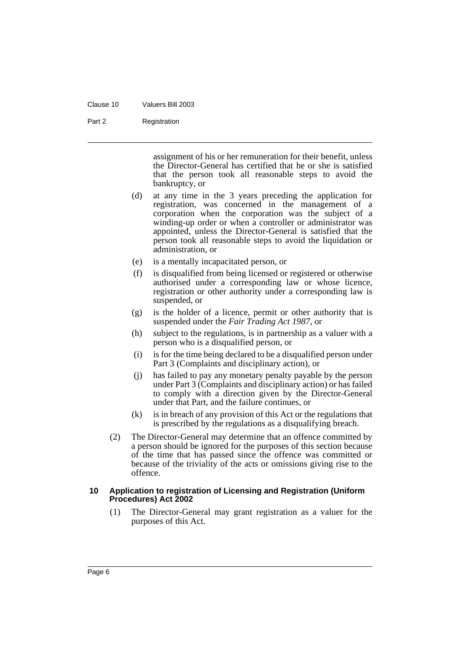#### Clause 10 Valuers Bill 2003

#### Part 2 Registration

assignment of his or her remuneration for their benefit, unless the Director-General has certified that he or she is satisfied that the person took all reasonable steps to avoid the bankruptcy, or

- (d) at any time in the 3 years preceding the application for registration, was concerned in the management of a corporation when the corporation was the subject of a winding-up order or when a controller or administrator was appointed, unless the Director-General is satisfied that the person took all reasonable steps to avoid the liquidation or administration, or
- (e) is a mentally incapacitated person, or
- (f) is disqualified from being licensed or registered or otherwise authorised under a corresponding law or whose licence, registration or other authority under a corresponding law is suspended, or
- (g) is the holder of a licence, permit or other authority that is suspended under the *Fair Trading Act 1987*, or
- (h) subject to the regulations, is in partnership as a valuer with a person who is a disqualified person, or
- (i) is for the time being declared to be a disqualified person under Part 3 (Complaints and disciplinary action), or
- (j) has failed to pay any monetary penalty payable by the person under Part 3 (Complaints and disciplinary action) or has failed to comply with a direction given by the Director-General under that Part, and the failure continues, or
- (k) is in breach of any provision of this Act or the regulations that is prescribed by the regulations as a disqualifying breach.
- (2) The Director-General may determine that an offence committed by a person should be ignored for the purposes of this section because of the time that has passed since the offence was committed or because of the triviality of the acts or omissions giving rise to the offence.

#### <span id="page-8-0"></span>**10 Application to registration of Licensing and Registration (Uniform Procedures) Act 2002**

(1) The Director-General may grant registration as a valuer for the purposes of this Act.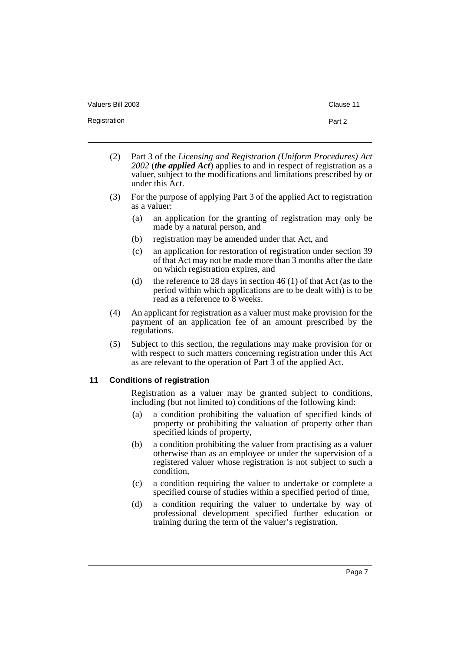- 
- (2) Part 3 of the *Licensing and Registration (Uniform Procedures) Act 2002* (*the applied Act*) applies to and in respect of registration as a valuer, subject to the modifications and limitations prescribed by or under this Act.
- (3) For the purpose of applying Part 3 of the applied Act to registration as a valuer:
	- (a) an application for the granting of registration may only be made by a natural person, and
	- (b) registration may be amended under that Act, and
	- (c) an application for restoration of registration under section 39 of that Act may not be made more than 3 months after the date on which registration expires, and
	- (d) the reference to 28 days in section 46 (1) of that Act (as to the period within which applications are to be dealt with) is to be read as a reference to 8 weeks.
- (4) An applicant for registration as a valuer must make provision for the payment of an application fee of an amount prescribed by the regulations.
- (5) Subject to this section, the regulations may make provision for or with respect to such matters concerning registration under this Act as are relevant to the operation of Part 3 of the applied Act.

#### <span id="page-9-0"></span>**11 Conditions of registration**

Registration as a valuer may be granted subject to conditions, including (but not limited to) conditions of the following kind:

- (a) a condition prohibiting the valuation of specified kinds of property or prohibiting the valuation of property other than specified kinds of property,
- (b) a condition prohibiting the valuer from practising as a valuer otherwise than as an employee or under the supervision of a registered valuer whose registration is not subject to such a condition,
- (c) a condition requiring the valuer to undertake or complete a specified course of studies within a specified period of time,
- (d) a condition requiring the valuer to undertake by way of professional development specified further education or training during the term of the valuer's registration.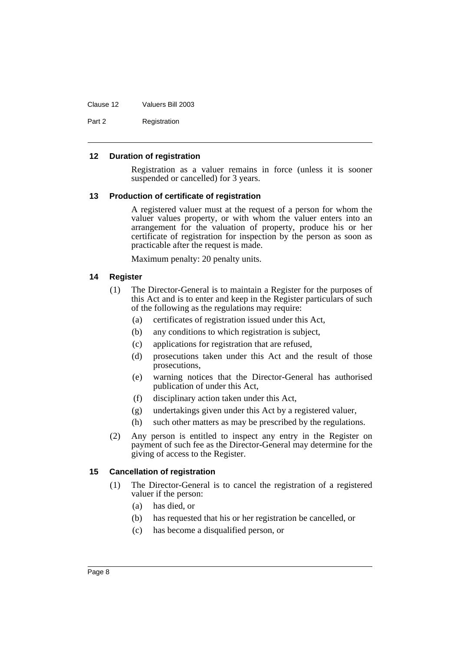Clause 12 Valuers Bill 2003

Part 2 Registration

#### <span id="page-10-0"></span>**12 Duration of registration**

Registration as a valuer remains in force (unless it is sooner suspended or cancelled) for 3 years.

#### <span id="page-10-1"></span>**13 Production of certificate of registration**

A registered valuer must at the request of a person for whom the valuer values property, or with whom the valuer enters into an arrangement for the valuation of property, produce his or her certificate of registration for inspection by the person as soon as practicable after the request is made.

Maximum penalty: 20 penalty units.

#### <span id="page-10-2"></span>**14 Register**

- (1) The Director-General is to maintain a Register for the purposes of this Act and is to enter and keep in the Register particulars of such of the following as the regulations may require:
	- (a) certificates of registration issued under this Act,
	- (b) any conditions to which registration is subject,
	- (c) applications for registration that are refused,
	- (d) prosecutions taken under this Act and the result of those prosecutions,
	- (e) warning notices that the Director-General has authorised publication of under this Act,
	- (f) disciplinary action taken under this Act,
	- (g) undertakings given under this Act by a registered valuer,
	- (h) such other matters as may be prescribed by the regulations.
- (2) Any person is entitled to inspect any entry in the Register on payment of such fee as the Director-General may determine for the giving of access to the Register.

## <span id="page-10-3"></span>**15 Cancellation of registration**

- (1) The Director-General is to cancel the registration of a registered valuer if the person:
	- (a) has died, or
	- (b) has requested that his or her registration be cancelled, or
	- (c) has become a disqualified person, or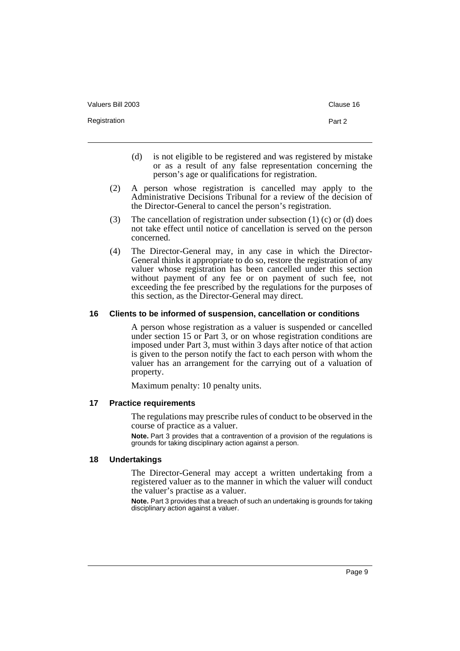Registration **Part 2** 

- (d) is not eligible to be registered and was registered by mistake or as a result of any false representation concerning the person's age or qualifications for registration.
- (2) A person whose registration is cancelled may apply to the Administrative Decisions Tribunal for a review of the decision of the Director-General to cancel the person's registration.
- (3) The cancellation of registration under subsection (1) (c) or (d) does not take effect until notice of cancellation is served on the person concerned.
- (4) The Director-General may, in any case in which the Director-General thinks it appropriate to do so, restore the registration of any valuer whose registration has been cancelled under this section without payment of any fee or on payment of such fee, not exceeding the fee prescribed by the regulations for the purposes of this section, as the Director-General may direct.

#### <span id="page-11-0"></span>**16 Clients to be informed of suspension, cancellation or conditions**

A person whose registration as a valuer is suspended or cancelled under section 15 or Part 3, or on whose registration conditions are imposed under Part 3, must within 3 days after notice of that action is given to the person notify the fact to each person with whom the valuer has an arrangement for the carrying out of a valuation of property.

Maximum penalty: 10 penalty units.

#### <span id="page-11-1"></span>**17 Practice requirements**

The regulations may prescribe rules of conduct to be observed in the course of practice as a valuer.

**Note.** Part 3 provides that a contravention of a provision of the regulations is grounds for taking disciplinary action against a person.

#### <span id="page-11-2"></span>**18 Undertakings**

The Director-General may accept a written undertaking from a registered valuer as to the manner in which the valuer will conduct the valuer's practise as a valuer.

**Note.** Part 3 provides that a breach of such an undertaking is grounds for taking disciplinary action against a valuer.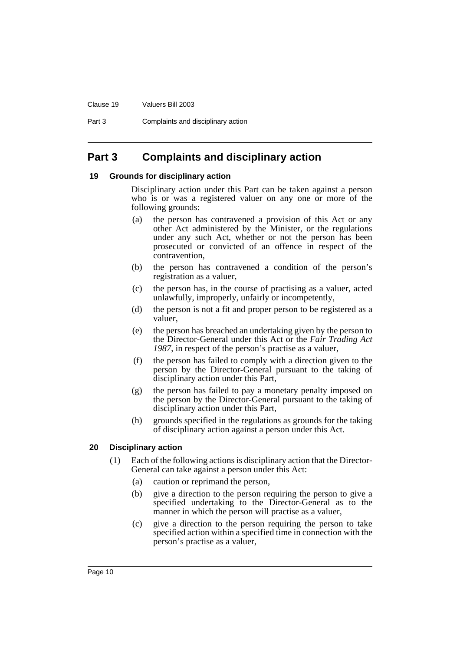#### Clause 19 Valuers Bill 2003

Part 3 Complaints and disciplinary action

# <span id="page-12-0"></span>**Part 3 Complaints and disciplinary action**

#### <span id="page-12-1"></span>**19 Grounds for disciplinary action**

Disciplinary action under this Part can be taken against a person who is or was a registered valuer on any one or more of the following grounds:

- (a) the person has contravened a provision of this Act or any other Act administered by the Minister, or the regulations under any such Act, whether or not the person has been prosecuted or convicted of an offence in respect of the contravention,
- (b) the person has contravened a condition of the person's registration as a valuer,
- (c) the person has, in the course of practising as a valuer, acted unlawfully, improperly, unfairly or incompetently,
- (d) the person is not a fit and proper person to be registered as a valuer,
- (e) the person has breached an undertaking given by the person to the Director-General under this Act or the *Fair Trading Act 1987*, in respect of the person's practise as a valuer,
- (f) the person has failed to comply with a direction given to the person by the Director-General pursuant to the taking of disciplinary action under this Part,
- (g) the person has failed to pay a monetary penalty imposed on the person by the Director-General pursuant to the taking of disciplinary action under this Part,
- (h) grounds specified in the regulations as grounds for the taking of disciplinary action against a person under this Act.

#### <span id="page-12-2"></span>**20 Disciplinary action**

- (1) Each of the following actions is disciplinary action that the Director-General can take against a person under this Act:
	- (a) caution or reprimand the person,
	- (b) give a direction to the person requiring the person to give a specified undertaking to the Director-General as to the manner in which the person will practise as a valuer,
	- (c) give a direction to the person requiring the person to take specified action within a specified time in connection with the person's practise as a valuer,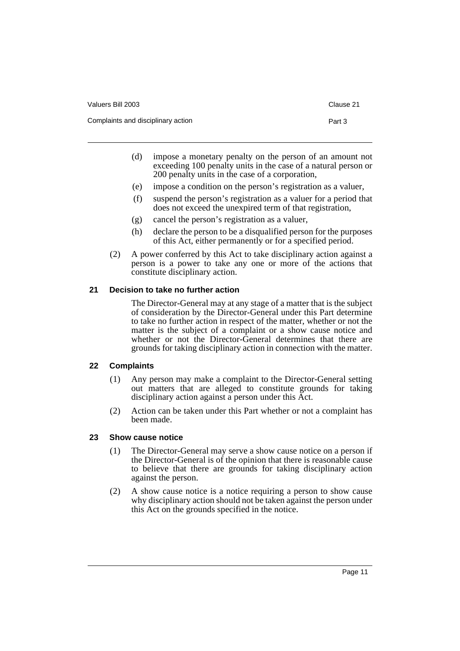| Valuers Bill 2003                  | Clause 21 |
|------------------------------------|-----------|
| Complaints and disciplinary action | Part 3    |

- (d) impose a monetary penalty on the person of an amount not exceeding 100 penalty units in the case of a natural person or 200 penalty units in the case of a corporation,
- (e) impose a condition on the person's registration as a valuer,
- (f) suspend the person's registration as a valuer for a period that does not exceed the unexpired term of that registration,
- (g) cancel the person's registration as a valuer,
- (h) declare the person to be a disqualified person for the purposes of this Act, either permanently or for a specified period.
- (2) A power conferred by this Act to take disciplinary action against a person is a power to take any one or more of the actions that constitute disciplinary action.

# <span id="page-13-0"></span>**21 Decision to take no further action**

The Director-General may at any stage of a matter that is the subject of consideration by the Director-General under this Part determine to take no further action in respect of the matter, whether or not the matter is the subject of a complaint or a show cause notice and whether or not the Director-General determines that there are grounds for taking disciplinary action in connection with the matter.

# <span id="page-13-1"></span>**22 Complaints**

- (1) Any person may make a complaint to the Director-General setting out matters that are alleged to constitute grounds for taking disciplinary action against a person under this Act.
- (2) Action can be taken under this Part whether or not a complaint has been made.

# <span id="page-13-2"></span>**23 Show cause notice**

- (1) The Director-General may serve a show cause notice on a person if the Director-General is of the opinion that there is reasonable cause to believe that there are grounds for taking disciplinary action against the person.
- (2) A show cause notice is a notice requiring a person to show cause why disciplinary action should not be taken against the person under this Act on the grounds specified in the notice.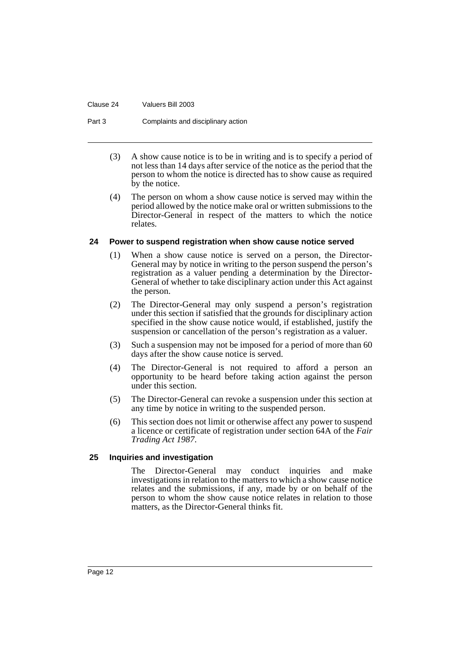#### Clause 24 Valuers Bill 2003

#### Part 3 Complaints and disciplinary action

- (3) A show cause notice is to be in writing and is to specify a period of not less than 14 days after service of the notice as the period that the person to whom the notice is directed has to show cause as required by the notice.
- (4) The person on whom a show cause notice is served may within the period allowed by the notice make oral or written submissions to the Director-General in respect of the matters to which the notice relates.

#### <span id="page-14-0"></span>**24 Power to suspend registration when show cause notice served**

- (1) When a show cause notice is served on a person, the Director-General may by notice in writing to the person suspend the person's registration as a valuer pending a determination by the Director-General of whether to take disciplinary action under this Act against the person.
- (2) The Director-General may only suspend a person's registration under this section if satisfied that the grounds for disciplinary action specified in the show cause notice would, if established, justify the suspension or cancellation of the person's registration as a valuer.
- (3) Such a suspension may not be imposed for a period of more than 60 days after the show cause notice is served.
- (4) The Director-General is not required to afford a person an opportunity to be heard before taking action against the person under this section.
- (5) The Director-General can revoke a suspension under this section at any time by notice in writing to the suspended person.
- (6) This section does not limit or otherwise affect any power to suspend a licence or certificate of registration under section 64A of the *Fair Trading Act 1987*.

#### <span id="page-14-1"></span>**25 Inquiries and investigation**

The Director-General may conduct inquiries and make investigations in relation to the matters to which a show cause notice relates and the submissions, if any, made by or on behalf of the person to whom the show cause notice relates in relation to those matters, as the Director-General thinks fit.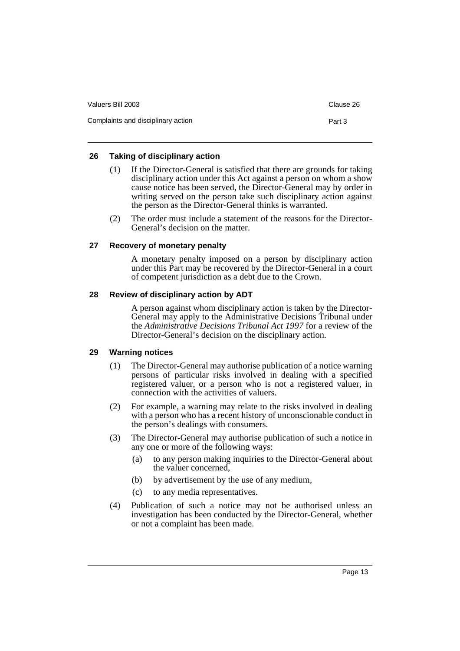| Valuers Bill 2003                  | Clause 26 |
|------------------------------------|-----------|
| Complaints and disciplinary action | Part 3    |

# <span id="page-15-0"></span>**26 Taking of disciplinary action**

- (1) If the Director-General is satisfied that there are grounds for taking disciplinary action under this Act against a person on whom a show cause notice has been served, the Director-General may by order in writing served on the person take such disciplinary action against the person as the Director-General thinks is warranted.
- (2) The order must include a statement of the reasons for the Director-General's decision on the matter.

#### <span id="page-15-1"></span>**27 Recovery of monetary penalty**

A monetary penalty imposed on a person by disciplinary action under this Part may be recovered by the Director-General in a court of competent jurisdiction as a debt due to the Crown.

# <span id="page-15-2"></span>**28 Review of disciplinary action by ADT**

A person against whom disciplinary action is taken by the Director-General may apply to the Administrative Decisions Tribunal under the *Administrative Decisions Tribunal Act 1997* for a review of the Director-General's decision on the disciplinary action.

#### <span id="page-15-3"></span>**29 Warning notices**

- (1) The Director-General may authorise publication of a notice warning persons of particular risks involved in dealing with a specified registered valuer, or a person who is not a registered valuer, in connection with the activities of valuers.
- (2) For example, a warning may relate to the risks involved in dealing with a person who has a recent history of unconscionable conduct in the person's dealings with consumers.
- (3) The Director-General may authorise publication of such a notice in any one or more of the following ways:
	- (a) to any person making inquiries to the Director-General about the valuer concerned,
	- (b) by advertisement by the use of any medium,
	- (c) to any media representatives.
- (4) Publication of such a notice may not be authorised unless an investigation has been conducted by the Director-General, whether or not a complaint has been made.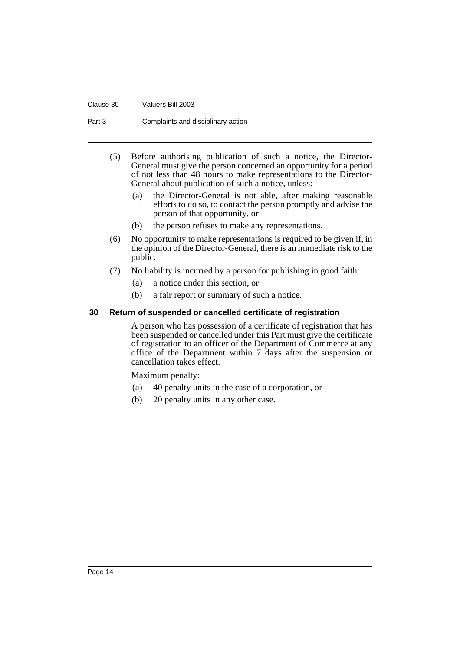#### Clause 30 Valuers Bill 2003

Part 3 Complaints and disciplinary action

- (5) Before authorising publication of such a notice, the Director-General must give the person concerned an opportunity for a period of not less than 48 hours to make representations to the Director-General about publication of such a notice, unless:
	- (a) the Director-General is not able, after making reasonable efforts to do so, to contact the person promptly and advise the person of that opportunity, or
	- (b) the person refuses to make any representations.
- (6) No opportunity to make representations is required to be given if, in the opinion of the Director-General, there is an immediate risk to the public.
- (7) No liability is incurred by a person for publishing in good faith:
	- (a) a notice under this section, or
	- (b) a fair report or summary of such a notice.

#### <span id="page-16-0"></span>**30 Return of suspended or cancelled certificate of registration**

A person who has possession of a certificate of registration that has been suspended or cancelled under this Part must give the certificate of registration to an officer of the Department of Commerce at any office of the Department within 7 days after the suspension or cancellation takes effect.

Maximum penalty:

- (a) 40 penalty units in the case of a corporation, or
- (b) 20 penalty units in any other case.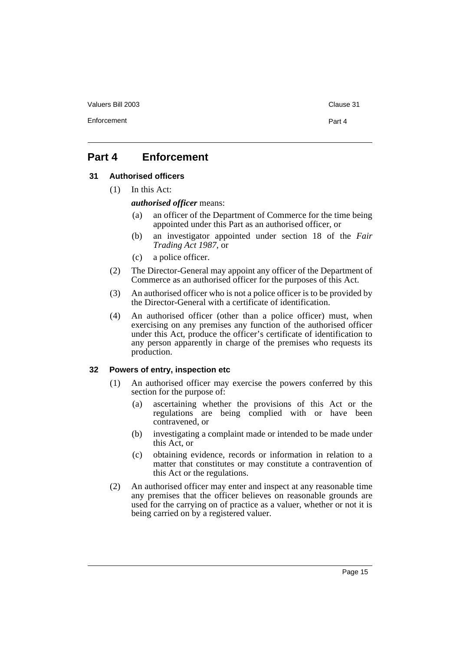Enforcement Part 4

# <span id="page-17-0"></span>**Part 4 Enforcement**

#### <span id="page-17-1"></span>**31 Authorised officers**

(1) In this Act:

*authorised officer* means:

- (a) an officer of the Department of Commerce for the time being appointed under this Part as an authorised officer, or
- (b) an investigator appointed under section 18 of the *Fair Trading Act 1987*, or
- (c) a police officer.
- (2) The Director-General may appoint any officer of the Department of Commerce as an authorised officer for the purposes of this Act.
- (3) An authorised officer who is not a police officer is to be provided by the Director-General with a certificate of identification.
- (4) An authorised officer (other than a police officer) must, when exercising on any premises any function of the authorised officer under this Act, produce the officer's certificate of identification to any person apparently in charge of the premises who requests its production.

#### <span id="page-17-2"></span>**32 Powers of entry, inspection etc**

- (1) An authorised officer may exercise the powers conferred by this section for the purpose of:
	- (a) ascertaining whether the provisions of this Act or the regulations are being complied with or have been contravened, or
	- (b) investigating a complaint made or intended to be made under this Act, or
	- (c) obtaining evidence, records or information in relation to a matter that constitutes or may constitute a contravention of this Act or the regulations.
- (2) An authorised officer may enter and inspect at any reasonable time any premises that the officer believes on reasonable grounds are used for the carrying on of practice as a valuer, whether or not it is being carried on by a registered valuer.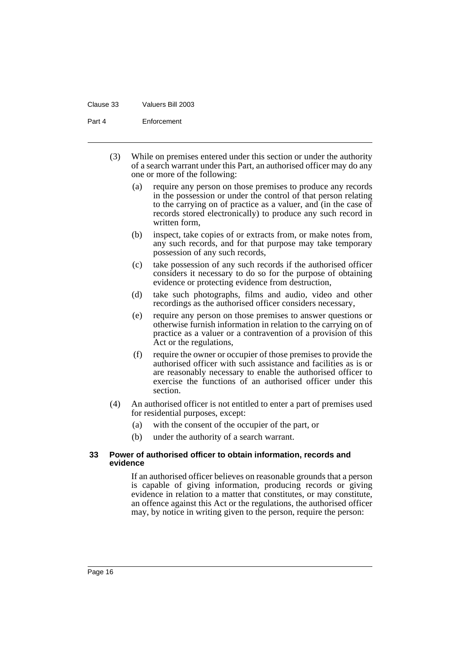#### Clause 33 Valuers Bill 2003

Part 4 Enforcement

- (3) While on premises entered under this section or under the authority of a search warrant under this Part, an authorised officer may do any one or more of the following:
	- (a) require any person on those premises to produce any records in the possession or under the control of that person relating to the carrying on of practice as a valuer, and (in the case of records stored electronically) to produce any such record in written form,
	- (b) inspect, take copies of or extracts from, or make notes from, any such records, and for that purpose may take temporary possession of any such records,
	- (c) take possession of any such records if the authorised officer considers it necessary to do so for the purpose of obtaining evidence or protecting evidence from destruction,
	- (d) take such photographs, films and audio, video and other recordings as the authorised officer considers necessary,
	- (e) require any person on those premises to answer questions or otherwise furnish information in relation to the carrying on of practice as a valuer or a contravention of a provision of this Act or the regulations,
	- (f) require the owner or occupier of those premises to provide the authorised officer with such assistance and facilities as is or are reasonably necessary to enable the authorised officer to exercise the functions of an authorised officer under this section.
- (4) An authorised officer is not entitled to enter a part of premises used for residential purposes, except:
	- (a) with the consent of the occupier of the part, or
	- (b) under the authority of a search warrant.

#### <span id="page-18-0"></span>**33 Power of authorised officer to obtain information, records and evidence**

If an authorised officer believes on reasonable grounds that a person is capable of giving information, producing records or giving evidence in relation to a matter that constitutes, or may constitute, an offence against this Act or the regulations, the authorised officer may, by notice in writing given to the person, require the person: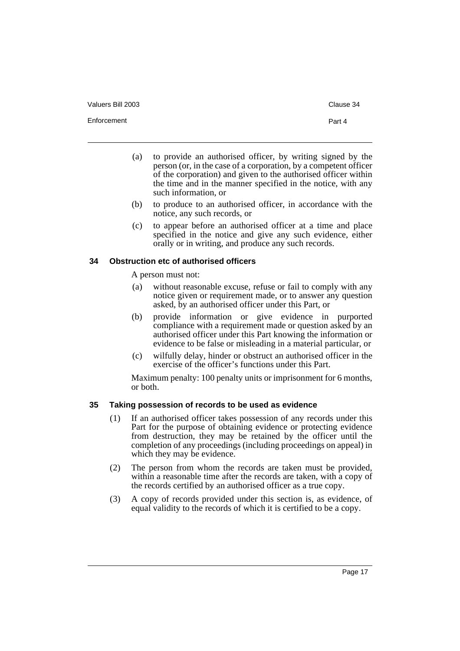Enforcement Part 4

- (a) to provide an authorised officer, by writing signed by the person (or, in the case of a corporation, by a competent officer of the corporation) and given to the authorised officer within the time and in the manner specified in the notice, with any such information, or
- (b) to produce to an authorised officer, in accordance with the notice, any such records, or
- (c) to appear before an authorised officer at a time and place specified in the notice and give any such evidence, either orally or in writing, and produce any such records.

#### <span id="page-19-0"></span>**34 Obstruction etc of authorised officers**

A person must not:

- (a) without reasonable excuse, refuse or fail to comply with any notice given or requirement made, or to answer any question asked, by an authorised officer under this Part, or
- (b) provide information or give evidence in purported compliance with a requirement made or question asked by an authorised officer under this Part knowing the information or evidence to be false or misleading in a material particular, or
- (c) wilfully delay, hinder or obstruct an authorised officer in the exercise of the officer's functions under this Part.

Maximum penalty: 100 penalty units or imprisonment for 6 months, or both.

## <span id="page-19-1"></span>**35 Taking possession of records to be used as evidence**

- (1) If an authorised officer takes possession of any records under this Part for the purpose of obtaining evidence or protecting evidence from destruction, they may be retained by the officer until the completion of any proceedings (including proceedings on appeal) in which they may be evidence.
- (2) The person from whom the records are taken must be provided, within a reasonable time after the records are taken, with a copy of the records certified by an authorised officer as a true copy.
- (3) A copy of records provided under this section is, as evidence, of equal validity to the records of which it is certified to be a copy.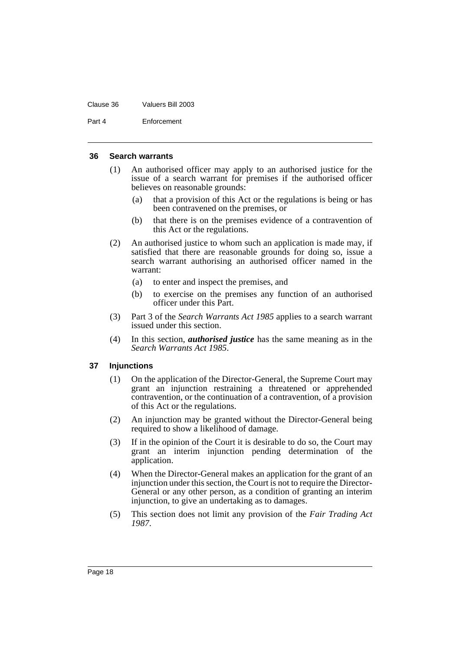#### Clause 36 Valuers Bill 2003

Part 4 Enforcement

#### <span id="page-20-0"></span>**36 Search warrants**

- (1) An authorised officer may apply to an authorised justice for the issue of a search warrant for premises if the authorised officer believes on reasonable grounds:
	- (a) that a provision of this Act or the regulations is being or has been contravened on the premises, or
	- (b) that there is on the premises evidence of a contravention of this Act or the regulations.
- (2) An authorised justice to whom such an application is made may, if satisfied that there are reasonable grounds for doing so, issue a search warrant authorising an authorised officer named in the warrant:
	- (a) to enter and inspect the premises, and
	- (b) to exercise on the premises any function of an authorised officer under this Part.
- (3) Part 3 of the *Search Warrants Act 1985* applies to a search warrant issued under this section.
- (4) In this section, *authorised justice* has the same meaning as in the *Search Warrants Act 1985*.

#### <span id="page-20-1"></span>**37 Injunctions**

- (1) On the application of the Director-General, the Supreme Court may grant an injunction restraining a threatened or apprehended contravention, or the continuation of a contravention, of a provision of this Act or the regulations.
- (2) An injunction may be granted without the Director-General being required to show a likelihood of damage.
- (3) If in the opinion of the Court it is desirable to do so, the Court may grant an interim injunction pending determination of the application.
- (4) When the Director-General makes an application for the grant of an injunction under this section, the Court is not to require the Director-General or any other person, as a condition of granting an interim injunction, to give an undertaking as to damages.
- (5) This section does not limit any provision of the *Fair Trading Act 1987*.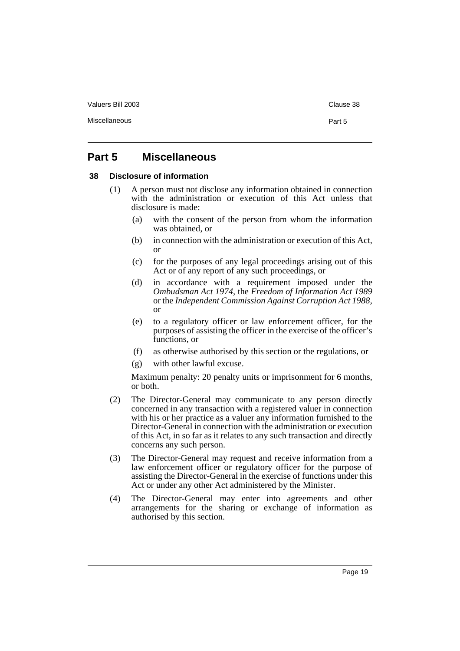Miscellaneous Part 5

# <span id="page-21-0"></span>**Part 5 Miscellaneous**

#### <span id="page-21-1"></span>**38 Disclosure of information**

- (1) A person must not disclose any information obtained in connection with the administration or execution of this Act unless that disclosure is made:
	- (a) with the consent of the person from whom the information was obtained, or
	- (b) in connection with the administration or execution of this Act, or
	- (c) for the purposes of any legal proceedings arising out of this Act or of any report of any such proceedings, or
	- (d) in accordance with a requirement imposed under the *Ombudsman Act 1974*, the *Freedom of Information Act 1989* or the *Independent Commission Against Corruption Act 1988*, or
	- (e) to a regulatory officer or law enforcement officer, for the purposes of assisting the officer in the exercise of the officer's functions, or
	- (f) as otherwise authorised by this section or the regulations, or
	- (g) with other lawful excuse.

Maximum penalty: 20 penalty units or imprisonment for 6 months, or both.

- (2) The Director-General may communicate to any person directly concerned in any transaction with a registered valuer in connection with his or her practice as a valuer any information furnished to the Director-General in connection with the administration or execution of this Act, in so far as it relates to any such transaction and directly concerns any such person.
- (3) The Director-General may request and receive information from a law enforcement officer or regulatory officer for the purpose of assisting the Director-General in the exercise of functions under this Act or under any other Act administered by the Minister.
- (4) The Director-General may enter into agreements and other arrangements for the sharing or exchange of information as authorised by this section.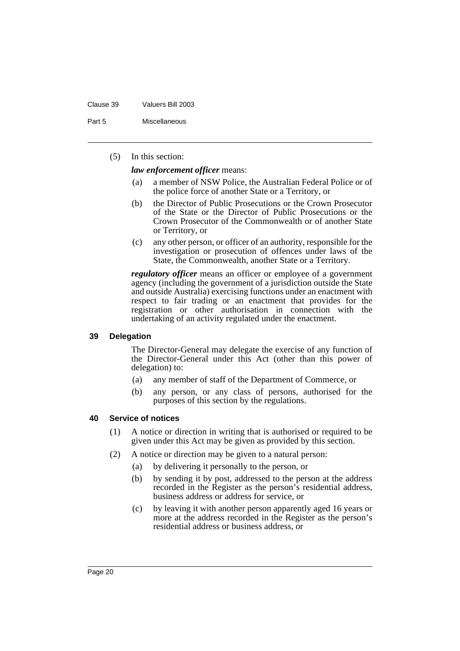#### Clause 39 Valuers Bill 2003

Part 5 Miscellaneous

(5) In this section:

*law enforcement officer* means:

- (a) a member of NSW Police, the Australian Federal Police or of the police force of another State or a Territory, or
- (b) the Director of Public Prosecutions or the Crown Prosecutor of the State or the Director of Public Prosecutions or the Crown Prosecutor of the Commonwealth or of another State or Territory, or
- (c) any other person, or officer of an authority, responsible for the investigation or prosecution of offences under laws of the State, the Commonwealth, another State or a Territory.

*regulatory officer* means an officer or employee of a government agency (including the government of a jurisdiction outside the State and outside Australia) exercising functions under an enactment with respect to fair trading or an enactment that provides for the registration or other authorisation in connection with the undertaking of an activity regulated under the enactment.

#### <span id="page-22-0"></span>**39 Delegation**

The Director-General may delegate the exercise of any function of the Director-General under this Act (other than this power of delegation) to:

- (a) any member of staff of the Department of Commerce, or
- (b) any person, or any class of persons, authorised for the purposes of this section by the regulations.

#### <span id="page-22-1"></span>**40 Service of notices**

- (1) A notice or direction in writing that is authorised or required to be given under this Act may be given as provided by this section.
- (2) A notice or direction may be given to a natural person:
	- (a) by delivering it personally to the person, or
	- (b) by sending it by post, addressed to the person at the address recorded in the Register as the person's residential address, business address or address for service, or
	- (c) by leaving it with another person apparently aged 16 years or more at the address recorded in the Register as the person's residential address or business address, or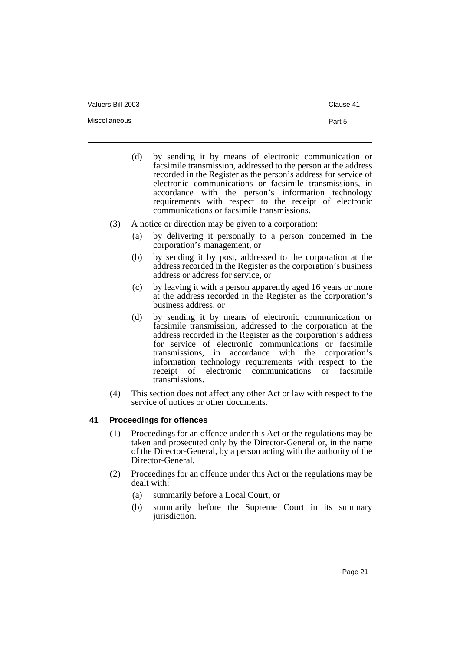Miscellaneous Part 5

- (d) by sending it by means of electronic communication or facsimile transmission, addressed to the person at the address recorded in the Register as the person's address for service of electronic communications or facsimile transmissions, in accordance with the person's information technology requirements with respect to the receipt of electronic communications or facsimile transmissions.
- (3) A notice or direction may be given to a corporation:
	- (a) by delivering it personally to a person concerned in the corporation's management, or
	- (b) by sending it by post, addressed to the corporation at the address recorded in the Register as the corporation's business address or address for service, or
	- (c) by leaving it with a person apparently aged 16 years or more at the address recorded in the Register as the corporation's business address, or
	- (d) by sending it by means of electronic communication or facsimile transmission, addressed to the corporation at the address recorded in the Register as the corporation's address for service of electronic communications or facsimile transmissions, in accordance with the corporation's information technology requirements with respect to the receipt of electronic communications or facsimile transmissions.
- (4) This section does not affect any other Act or law with respect to the service of notices or other documents.

#### <span id="page-23-0"></span>**41 Proceedings for offences**

- (1) Proceedings for an offence under this Act or the regulations may be taken and prosecuted only by the Director-General or, in the name of the Director-General, by a person acting with the authority of the Director-General.
- (2) Proceedings for an offence under this Act or the regulations may be dealt with:
	- (a) summarily before a Local Court, or
	- (b) summarily before the Supreme Court in its summary jurisdiction.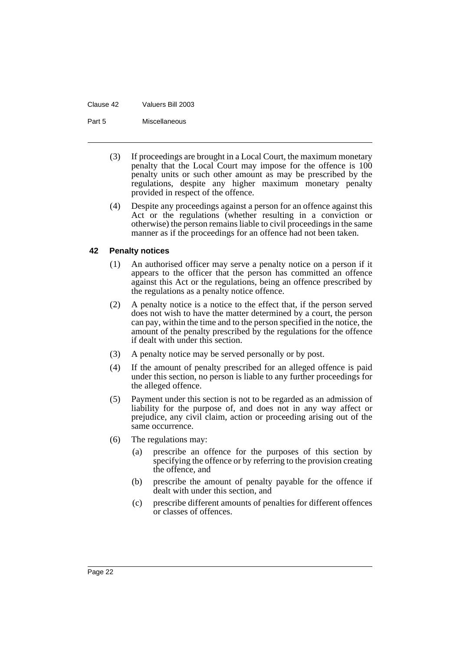#### Clause 42 Valuers Bill 2003

Part 5 Miscellaneous

- (3) If proceedings are brought in a Local Court, the maximum monetary penalty that the Local Court may impose for the offence is 100 penalty units or such other amount as may be prescribed by the regulations, despite any higher maximum monetary penalty provided in respect of the offence.
- (4) Despite any proceedings against a person for an offence against this Act or the regulations (whether resulting in a conviction or otherwise) the person remains liable to civil proceedings in the same manner as if the proceedings for an offence had not been taken.

#### <span id="page-24-0"></span>**42 Penalty notices**

- (1) An authorised officer may serve a penalty notice on a person if it appears to the officer that the person has committed an offence against this Act or the regulations, being an offence prescribed by the regulations as a penalty notice offence.
- (2) A penalty notice is a notice to the effect that, if the person served does not wish to have the matter determined by a court, the person can pay, within the time and to the person specified in the notice, the amount of the penalty prescribed by the regulations for the offence if dealt with under this section.
- (3) A penalty notice may be served personally or by post.
- (4) If the amount of penalty prescribed for an alleged offence is paid under this section, no person is liable to any further proceedings for the alleged offence.
- (5) Payment under this section is not to be regarded as an admission of liability for the purpose of, and does not in any way affect or prejudice, any civil claim, action or proceeding arising out of the same occurrence.
- (6) The regulations may:
	- (a) prescribe an offence for the purposes of this section by specifying the offence or by referring to the provision creating the offence, and
	- (b) prescribe the amount of penalty payable for the offence if dealt with under this section, and
	- (c) prescribe different amounts of penalties for different offences or classes of offences.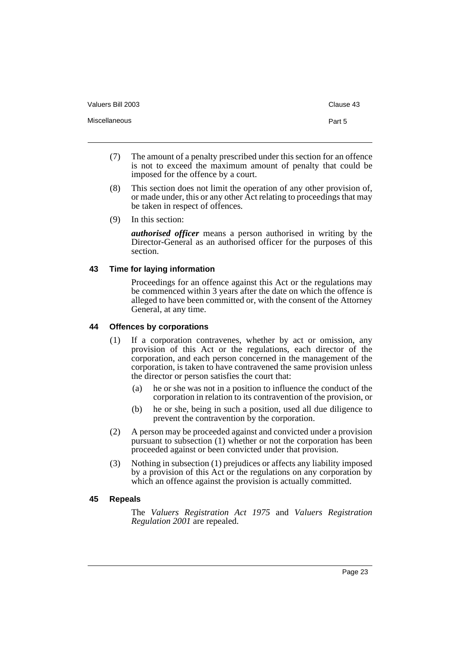Miscellaneous Part 5

- (7) The amount of a penalty prescribed under this section for an offence is not to exceed the maximum amount of penalty that could be imposed for the offence by a court.
- (8) This section does not limit the operation of any other provision of, or made under, this or any other Act relating to proceedings that may be taken in respect of offences.
- (9) In this section:

*authorised officer* means a person authorised in writing by the Director-General as an authorised officer for the purposes of this section.

# <span id="page-25-0"></span>**43 Time for laying information**

Proceedings for an offence against this Act or the regulations may be commenced within 3 years after the date on which the offence is alleged to have been committed or, with the consent of the Attorney General, at any time.

#### <span id="page-25-1"></span>**44 Offences by corporations**

- (1) If a corporation contravenes, whether by act or omission, any provision of this Act or the regulations, each director of the corporation, and each person concerned in the management of the corporation, is taken to have contravened the same provision unless the director or person satisfies the court that:
	- (a) he or she was not in a position to influence the conduct of the corporation in relation to its contravention of the provision, or
	- (b) he or she, being in such a position, used all due diligence to prevent the contravention by the corporation.
- (2) A person may be proceeded against and convicted under a provision pursuant to subsection (1) whether or not the corporation has been proceeded against or been convicted under that provision.
- (3) Nothing in subsection (1) prejudices or affects any liability imposed by a provision of this Act or the regulations on any corporation by which an offence against the provision is actually committed.

#### <span id="page-25-2"></span>**45 Repeals**

The *Valuers Registration Act 1975* and *Valuers Registration Regulation 2001* are repealed.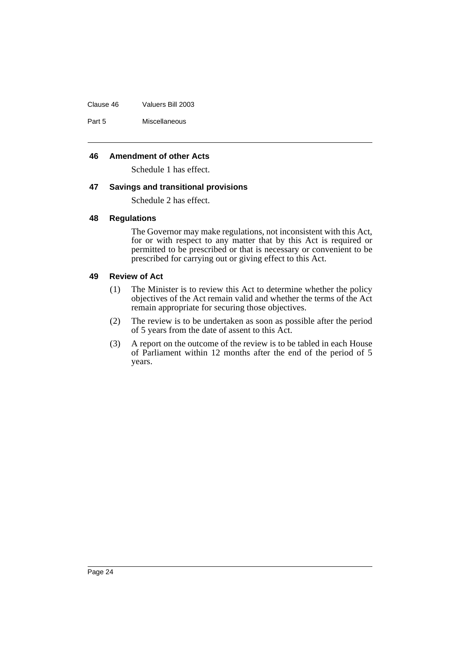Clause 46 Valuers Bill 2003

Part 5 Miscellaneous

### <span id="page-26-0"></span>**46 Amendment of other Acts**

Schedule 1 has effect.

#### <span id="page-26-1"></span>**47 Savings and transitional provisions**

Schedule 2 has effect.

#### <span id="page-26-2"></span>**48 Regulations**

The Governor may make regulations, not inconsistent with this Act, for or with respect to any matter that by this Act is required or permitted to be prescribed or that is necessary or convenient to be prescribed for carrying out or giving effect to this Act.

#### <span id="page-26-3"></span>**49 Review of Act**

- (1) The Minister is to review this Act to determine whether the policy objectives of the Act remain valid and whether the terms of the Act remain appropriate for securing those objectives.
- (2) The review is to be undertaken as soon as possible after the period of 5 years from the date of assent to this Act.
- (3) A report on the outcome of the review is to be tabled in each House of Parliament within 12 months after the end of the period of 5 years.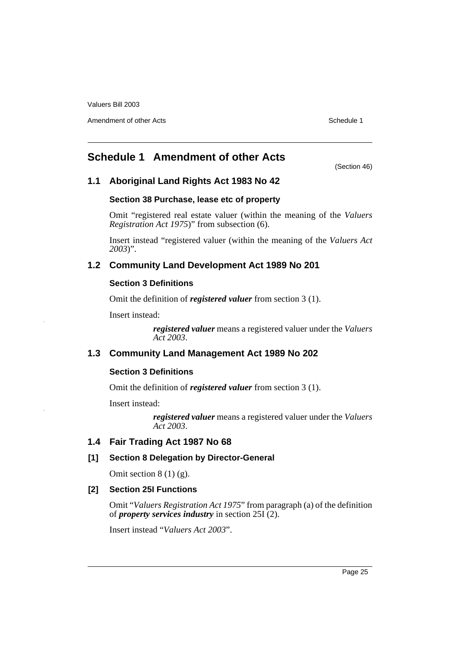Amendment of other Acts **Schedule 1** and the set of the set of the set of the set of the set of the set of the set of the set of the set of the set of the set of the set of the set of the set of the set of the set of the s

# <span id="page-27-0"></span>**Schedule 1 Amendment of other Acts**

(Section 46)

# **1.1 Aboriginal Land Rights Act 1983 No 42**

# **Section 38 Purchase, lease etc of property**

Omit "registered real estate valuer (within the meaning of the *Valuers Registration Act 1975*)" from subsection (6).

Insert instead "registered valuer (within the meaning of the *Valuers Act 2003*)".

# **1.2 Community Land Development Act 1989 No 201**

# **Section 3 Definitions**

Omit the definition of *registered valuer* from section 3 (1).

Insert instead:

*registered valuer* means a registered valuer under the *Valuers Act 2003*.

# **1.3 Community Land Management Act 1989 No 202**

# **Section 3 Definitions**

Omit the definition of *registered valuer* from section 3 (1).

Insert instead:

*registered valuer* means a registered valuer under the *Valuers Act 2003*.

# **1.4 Fair Trading Act 1987 No 68**

# **[1] Section 8 Delegation by Director-General**

Omit section  $8(1)(g)$ .

# **[2] Section 25I Functions**

Omit "*Valuers Registration Act 1975*" from paragraph (a) of the definition of *property services industry* in section 25I (2).

Insert instead "*Valuers Act 2003*".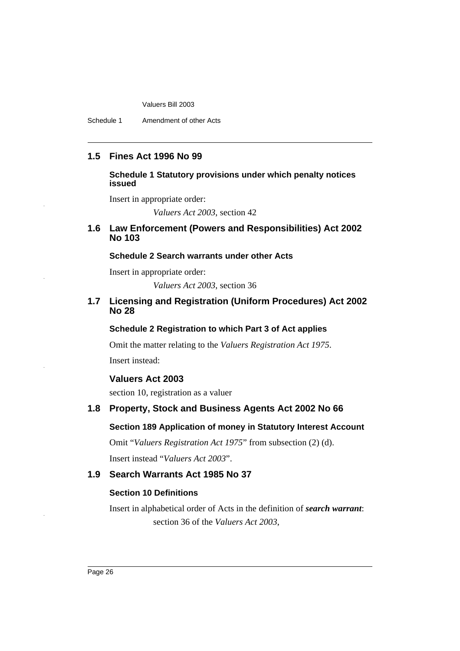Schedule 1 Amendment of other Acts

# **1.5 Fines Act 1996 No 99**

#### **Schedule 1 Statutory provisions under which penalty notices issued**

Insert in appropriate order:

*Valuers Act 2003*, section 42

## **1.6 Law Enforcement (Powers and Responsibilities) Act 2002 No 103**

# **Schedule 2 Search warrants under other Acts**

Insert in appropriate order:

*Valuers Act 2003*, section 36

# **1.7 Licensing and Registration (Uniform Procedures) Act 2002 No 28**

#### **Schedule 2 Registration to which Part 3 of Act applies**

Omit the matter relating to the *Valuers Registration Act 1975*.

Insert instead:

# **Valuers Act 2003**

section 10, registration as a valuer

# **1.8 Property, Stock and Business Agents Act 2002 No 66**

### **Section 189 Application of money in Statutory Interest Account**

Omit "*Valuers Registration Act 1975*" from subsection (2) (d). Insert instead "*Valuers Act 2003*".

# **1.9 Search Warrants Act 1985 No 37**

#### **Section 10 Definitions**

Insert in alphabetical order of Acts in the definition of *search warrant*: section 36 of the *Valuers Act 2003*,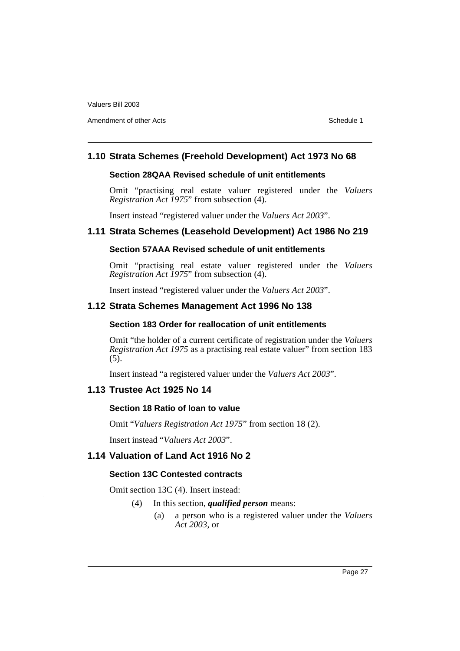Amendment of other Acts **Schedule 1** and the set of the set of the set of the set of the set of the set of the set of the set of the set of the set of the set of the set of the set of the set of the set of the set of the s

# **1.10 Strata Schemes (Freehold Development) Act 1973 No 68**

#### **Section 28QAA Revised schedule of unit entitlements**

Omit "practising real estate valuer registered under the *Valuers Registration Act 1975*" from subsection (4).

Insert instead "registered valuer under the *Valuers Act 2003*".

# **1.11 Strata Schemes (Leasehold Development) Act 1986 No 219**

# **Section 57AAA Revised schedule of unit entitlements**

Omit "practising real estate valuer registered under the *Valuers Registration Act 1975*" from subsection (4).

Insert instead "registered valuer under the *Valuers Act 2003*".

# **1.12 Strata Schemes Management Act 1996 No 138**

#### **Section 183 Order for reallocation of unit entitlements**

Omit "the holder of a current certificate of registration under the *Valuers Registration Act 1975* as a practising real estate valuer" from section 183 (5).

Insert instead "a registered valuer under the *Valuers Act 2003*".

# **1.13 Trustee Act 1925 No 14**

#### **Section 18 Ratio of loan to value**

Omit "*Valuers Registration Act 1975*" from section 18 (2).

Insert instead "*Valuers Act 2003*".

# **1.14 Valuation of Land Act 1916 No 2**

# **Section 13C Contested contracts**

Omit section 13C (4). Insert instead:

- (4) In this section, *qualified person* means:
	- (a) a person who is a registered valuer under the *Valuers Act 2003*, or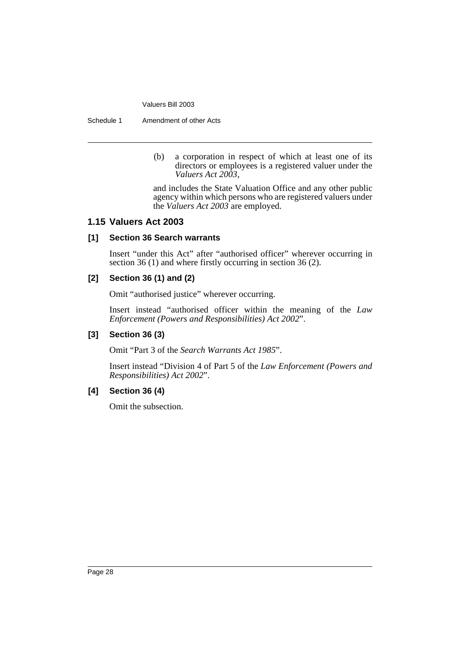Schedule 1 Amendment of other Acts

(b) a corporation in respect of which at least one of its directors or employees is a registered valuer under the *Valuers Act 2003*,

and includes the State Valuation Office and any other public agency within which persons who are registered valuers under the *Valuers Act 2003* are employed.

# **1.15 Valuers Act 2003**

# **[1] Section 36 Search warrants**

Insert "under this Act" after "authorised officer" wherever occurring in section 36 (1) and where firstly occurring in section 36 (2).

# **[2] Section 36 (1) and (2)**

Omit "authorised justice" wherever occurring.

Insert instead "authorised officer within the meaning of the *Law Enforcement (Powers and Responsibilities) Act 2002*".

# **[3] Section 36 (3)**

Omit "Part 3 of the *Search Warrants Act 1985*".

Insert instead "Division 4 of Part 5 of the *Law Enforcement (Powers and Responsibilities) Act 2002*".

### **[4] Section 36 (4)**

Omit the subsection.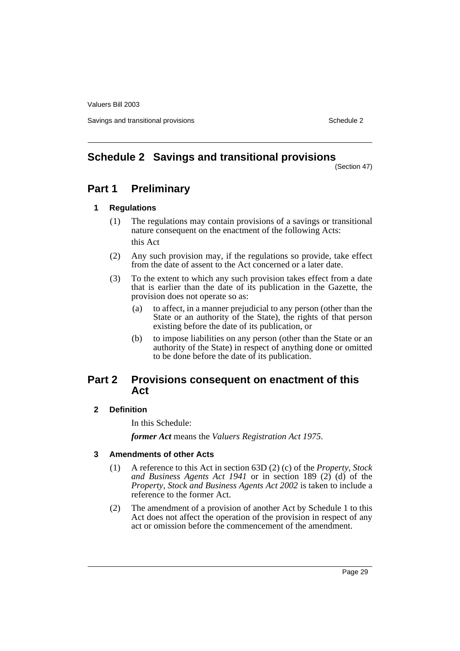Savings and transitional provisions Schedule 2 and transitional provisions Schedule 2 and Schedule 2

# <span id="page-31-0"></span>**Schedule 2 Savings and transitional provisions**

(Section 47)

# **Part 1 Preliminary**

# **1 Regulations**

- (1) The regulations may contain provisions of a savings or transitional nature consequent on the enactment of the following Acts: this Act
- (2) Any such provision may, if the regulations so provide, take effect from the date of assent to the Act concerned or a later date.
- (3) To the extent to which any such provision takes effect from a date that is earlier than the date of its publication in the Gazette, the provision does not operate so as:
	- (a) to affect, in a manner prejudicial to any person (other than the State or an authority of the State), the rights of that person existing before the date of its publication, or
	- (b) to impose liabilities on any person (other than the State or an authority of the State) in respect of anything done or omitted to be done before the date of its publication.

# **Part 2 Provisions consequent on enactment of this Act**

# **2 Definition**

In this Schedule:

*former Act* means the *Valuers Registration Act 1975*.

# **3 Amendments of other Acts**

- (1) A reference to this Act in section 63D (2) (c) of the *Property, Stock and Business Agents Act 1941* or in section 189 (2) (d) of the *Property, Stock and Business Agents Act 2002* is taken to include a reference to the former Act.
- (2) The amendment of a provision of another Act by Schedule 1 to this Act does not affect the operation of the provision in respect of any act or omission before the commencement of the amendment.